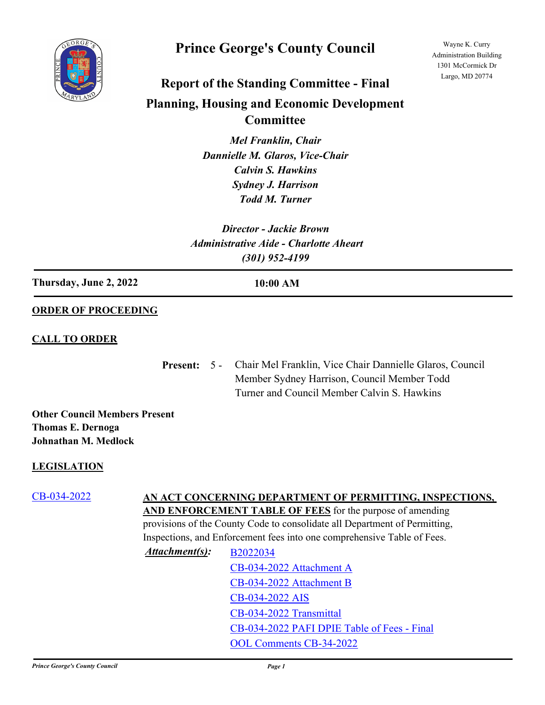

## **Prince George's County Council**

Wayne K. Curry Administration Building 1301 McCormick Dr Largo, MD 20774

# **Report of the Standing Committee - Final Planning, Housing and Economic Development**

**Committee**

*Mel Franklin, Chair Dannielle M. Glaros, Vice-Chair Calvin S. Hawkins Sydney J. Harrison Todd M. Turner*

*Director - Jackie Brown Administrative Aide - Charlotte Aheart (301) 952-4199*

**Thursday, June 2, 2022 10:00 AM**

### **ORDER OF PROCEEDING**

#### **CALL TO ORDER**

Present: 5 - Chair Mel Franklin, Vice Chair Dannielle Glaros, Council Member Sydney Harrison, Council Member Todd Turner and Council Member Calvin S. Hawkins

**Other Council Members Present Thomas E. Dernoga Johnathan M. Medlock**

### **LEGISLATION**

## [CB-034-2022](http://princegeorgescountymd.legistar.com/gateway.aspx?m=l&id=/matter.aspx?key=14754) **AN ACT CONCERNING DEPARTMENT OF PERMITTING, INSPECTIONS,**

**AND ENFORCEMENT TABLE OF FEES** for the purpose of amending provisions of the County Code to consolidate all Department of Permitting, Inspections, and Enforcement fees into one comprehensive Table of Fees.

*Attachment(s):* [B2022034](http://princegeorgescountymd.legistar.com/gateway.aspx?M=F&ID=cb9fad1b-f066-447e-b175-2d31816422e5.doc) [CB-034-2022 Attachment A](http://princegeorgescountymd.legistar.com/gateway.aspx?M=F&ID=8ef99095-5b64-4a74-b691-79b7a3d6ce08.pdf) [CB-034-2022 Attachment B](http://princegeorgescountymd.legistar.com/gateway.aspx?M=F&ID=4591627c-0e54-4af6-943c-056a9fda2301.pdf) [CB-034-2022 AIS](http://princegeorgescountymd.legistar.com/gateway.aspx?M=F&ID=45272d74-9a99-45bd-8287-2adec0800773.pdf) [CB-034-2022 Transmittal](http://princegeorgescountymd.legistar.com/gateway.aspx?M=F&ID=293d039e-f99c-4970-b4bb-c065cdb357fd.pdf) [CB-034-2022 PAFI DPIE Table of Fees - Final](http://princegeorgescountymd.legistar.com/gateway.aspx?M=F&ID=49910b91-36b0-4601-9a95-bc8d8e7b3d14.pdf) [OOL Comments CB-34-2022](http://princegeorgescountymd.legistar.com/gateway.aspx?M=F&ID=b5c3d737-e099-4323-8d35-8b07030e0cbf.pdf)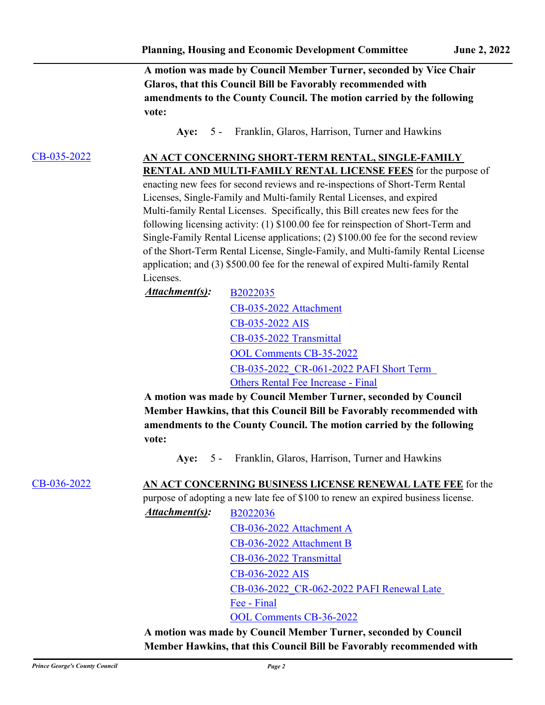**A motion was made by Council Member Turner, seconded by Vice Chair Glaros, that this Council Bill be Favorably recommended with amendments to the County Council. The motion carried by the following vote:**

**Aye:** 5 - Franklin, Glaros, Harrison, Turner and Hawkins

## [CB-035-2022](http://princegeorgescountymd.legistar.com/gateway.aspx?m=l&id=/matter.aspx?key=14702) **AN ACT CONCERNING SHORT-TERM RENTAL, SINGLE-FAMILY**

**RENTAL AND MULTI-FAMILY RENTAL LICENSE FEES** for the purpose of enacting new fees for second reviews and re-inspections of Short-Term Rental Licenses, Single-Family and Multi-family Rental Licenses, and expired Multi-family Rental Licenses. Specifically, this Bill creates new fees for the following licensing activity: (1) \$100.00 fee for reinspection of Short-Term and Single-Family Rental License applications; (2) \$100.00 fee for the second review of the Short-Term Rental License, Single-Family, and Multi-family Rental License application; and (3) \$500.00 fee for the renewal of expired Multi-family Rental Licenses.

*Attachment(s):* [B2022035](http://princegeorgescountymd.legistar.com/gateway.aspx?M=F&ID=43507285-0d59-46e3-87d1-29145cf33023.docx) [CB-035-2022 Attachment](http://princegeorgescountymd.legistar.com/gateway.aspx?M=F&ID=19c7b159-71c8-4667-a08b-6dfca0b476ea.pdf) [CB-035-2022 AIS](http://princegeorgescountymd.legistar.com/gateway.aspx?M=F&ID=8dcbcb2a-acf5-4bb0-99ee-f1a45542c94b.pdf) [CB-035-2022 Transmittal](http://princegeorgescountymd.legistar.com/gateway.aspx?M=F&ID=c721ede6-7a64-4a97-bef3-88766cab3c3f.pdf) [OOL Comments CB-35-2022](http://princegeorgescountymd.legistar.com/gateway.aspx?M=F&ID=c95a5c24-b41d-4d93-b5ef-553206690aca.pdf) [CB-035-2022\\_CR-061-2022 PAFI Short Term](http://princegeorgescountymd.legistar.com/gateway.aspx?M=F&ID=e7cb54c6-235a-4f36-b9ee-35fcc8c558f8.pdf)  Others Rental Fee Increase - Final

**A motion was made by Council Member Turner, seconded by Council Member Hawkins, that this Council Bill be Favorably recommended with amendments to the County Council. The motion carried by the following vote:**

**Aye:** 5 - Franklin, Glaros, Harrison, Turner and Hawkins

[CB-036-2022](http://princegeorgescountymd.legistar.com/gateway.aspx?m=l&id=/matter.aspx?key=14704) **AN ACT CONCERNING BUSINESS LICENSE RENEWAL LATE FEE** for the

purpose of adopting a new late fee of \$100 to renew an expired business license.

*Attachment(s):* [B2022036](http://princegeorgescountymd.legistar.com/gateway.aspx?M=F&ID=10afb599-9e3c-48ad-89bd-e46f140d8247.docx) [CB-036-2022 Attachment A](http://princegeorgescountymd.legistar.com/gateway.aspx?M=F&ID=73e53bea-1435-49ff-af9e-8a1652e74f00.pdf) [CB-036-2022 Attachment B](http://princegeorgescountymd.legistar.com/gateway.aspx?M=F&ID=aa7ab384-3127-4f54-9ce5-04dd7e22fa68.xlsx) [CB-036-2022 Transmittal](http://princegeorgescountymd.legistar.com/gateway.aspx?M=F&ID=c8cb1b95-2ea0-43c9-b6ec-53744990497d.pdf) [CB-036-2022 AIS](http://princegeorgescountymd.legistar.com/gateway.aspx?M=F&ID=64f95f60-fc71-4035-af8a-dd4387d183e0.pdf) [CB-036-2022\\_CR-062-2022 PAFI Renewal Late](http://princegeorgescountymd.legistar.com/gateway.aspx?M=F&ID=c0937490-a719-43af-af7e-c09fe9c682bd.pdf)  Fee - Final [OOL Comments CB-36-2022](http://princegeorgescountymd.legistar.com/gateway.aspx?M=F&ID=fa8921bf-b29a-4617-9cb3-c8b3e1256a7e.pdf)

**A motion was made by Council Member Turner, seconded by Council Member Hawkins, that this Council Bill be Favorably recommended with**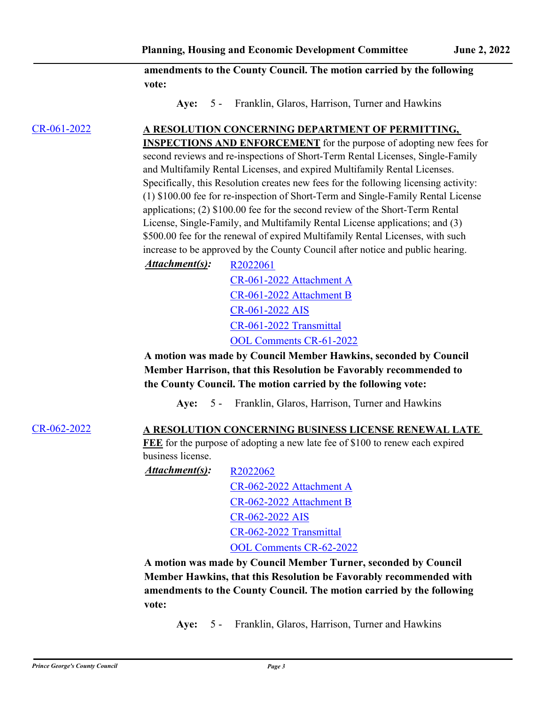**amendments to the County Council. The motion carried by the following vote:**

**Aye:** 5 - Franklin, Glaros, Harrison, Turner and Hawkins

## [CR-061-2022](http://princegeorgescountymd.legistar.com/gateway.aspx?m=l&id=/matter.aspx?key=14701) **A RESOLUTION CONCERNING DEPARTMENT OF PERMITTING,**

**INSPECTIONS AND ENFORCEMENT** for the purpose of adopting new fees for second reviews and re-inspections of Short-Term Rental Licenses, Single-Family and Multifamily Rental Licenses, and expired Multifamily Rental Licenses. Specifically, this Resolution creates new fees for the following licensing activity: (1) \$100.00 fee for re-inspection of Short-Term and Single-Family Rental License applications; (2) \$100.00 fee for the second review of the Short-Term Rental License, Single-Family, and Multifamily Rental License applications; and (3) \$500.00 fee for the renewal of expired Multifamily Rental Licenses, with such increase to be approved by the County Council after notice and public hearing.

*Attachment(s):* [R2022061](http://princegeorgescountymd.legistar.com/gateway.aspx?M=F&ID=04973422-87d2-4101-9f26-d2b391b78878.docx)

[CR-061-2022 Attachment A](http://princegeorgescountymd.legistar.com/gateway.aspx?M=F&ID=6bab5387-0f0b-410a-8ae7-165486751be3.pdf) [CR-061-2022 Attachment B](http://princegeorgescountymd.legistar.com/gateway.aspx?M=F&ID=517b088c-8a18-4240-8a4c-b5b0148f8e09.xlsx) [CR-061-2022 AIS](http://princegeorgescountymd.legistar.com/gateway.aspx?M=F&ID=bd131181-9480-4979-b101-f70617032040.pdf) [CR-061-2022 Transmittal](http://princegeorgescountymd.legistar.com/gateway.aspx?M=F&ID=433e868a-22a2-4847-8b9d-c8f2b7970009.pdf) [OOL Comments CR-61-2022](http://princegeorgescountymd.legistar.com/gateway.aspx?M=F&ID=840cf27c-d91c-487b-91f2-73e67ee19988.pdf)

**A motion was made by Council Member Hawkins, seconded by Council Member Harrison, that this Resolution be Favorably recommended to the County Council. The motion carried by the following vote:**

**Aye:** 5 - Franklin, Glaros, Harrison, Turner and Hawkins

## [CR-062-2022](http://princegeorgescountymd.legistar.com/gateway.aspx?m=l&id=/matter.aspx?key=14703) **A RESOLUTION CONCERNING BUSINESS LICENSE RENEWAL LATE**

FEE for the purpose of adopting a new late fee of \$100 to renew each expired business license.

*Attachment(s):* [R2022062](http://princegeorgescountymd.legistar.com/gateway.aspx?M=F&ID=0c22f406-176d-48b1-829b-94376f0793aa.docx)

[CR-062-2022 Attachment A](http://princegeorgescountymd.legistar.com/gateway.aspx?M=F&ID=d540a8a4-70db-4c4b-b52c-7d34b0607475.pdf) [CR-062-2022 Attachment B](http://princegeorgescountymd.legistar.com/gateway.aspx?M=F&ID=8d44cd5e-e134-47a9-a268-156795c82a78.xlsx) [CR-062-2022 AIS](http://princegeorgescountymd.legistar.com/gateway.aspx?M=F&ID=da7258ad-facb-4a60-b323-1d71516e79dd.pdf) [CR-062-2022 Transmittal](http://princegeorgescountymd.legistar.com/gateway.aspx?M=F&ID=db69217d-917e-4f0d-a295-4dc251e57d47.pdf) [OOL Comments CR-62-2022](http://princegeorgescountymd.legistar.com/gateway.aspx?M=F&ID=6e668dc7-3f0b-4b3d-9008-9d428da9ffb6.pdf)

**A motion was made by Council Member Turner, seconded by Council Member Hawkins, that this Resolution be Favorably recommended with amendments to the County Council. The motion carried by the following vote:**

**Aye:** 5 - Franklin, Glaros, Harrison, Turner and Hawkins